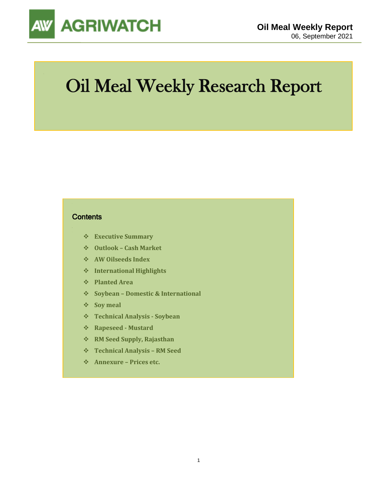

# Oil Meal Weekly Research Report

#### **Contents**

- ❖ **Executive Summary**
- ❖ **Outlook – Cash Market**
- ❖ **AW Oilseeds Index**
- ❖ **International Highlights**
- ❖ **Planted Area**
- ❖ **Soybean – Domestic & International**
- ❖ **Soy meal**
- ❖ **Technical Analysis - Soybean**
- ❖ **Rapeseed - Mustard**
- ❖ **RM Seed Supply, Rajasthan**
- ❖ **Technical Analysis – RM Seed**
- ❖ **Annexure – Prices etc.**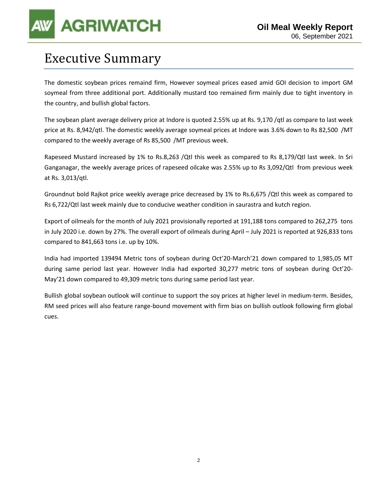# **AGRIWATCH**

### Executive Summary

The domestic soybean prices remaind firm, However soymeal prices eased amid GOI decision to import GM soymeal from three additional port. Additionally mustard too remained firm mainly due to tight inventory in the country, and bullish global factors.

The soybean plant average delivery price at Indore is quoted 2.55% up at Rs. 9,170 /qtl as compare to last week price at Rs. 8,942/qtl. The domestic weekly average soymeal prices at Indore was 3.6% down to Rs 82,500 /MT compared to the weekly average of Rs 85,500 /MT previous week.

Rapeseed Mustard increased by 1% to Rs.8,263 /Qtl this week as compared to Rs 8,179/Qtl last week. In Sri Ganganagar, the weekly average prices of rapeseed oilcake was 2.55% up to Rs 3,092/Qtl from previous week at Rs. 3,013/qtl.

Groundnut bold Rajkot price weekly average price decreased by 1% to Rs.6,675 /Qtl this week as compared to Rs 6,722/Qtl last week mainly due to conducive weather condition in saurastra and kutch region.

Export of oilmeals for the month of July 2021 provisionally reported at 191,188 tons compared to 262,275 tons in July 2020 i.e. down by 27%. The overall export of oilmeals during April – July 2021 is reported at 926,833 tons compared to 841,663 tons i.e. up by 10%.

India had imported 139494 Metric tons of soybean during Oct'20-March'21 down compared to 1,985,05 MT during same period last year. However India had exported 30,277 metric tons of soybean during Oct'20- May'21 down compared to 49,309 metric tons during same period last year.

Bullish global soybean outlook will continue to support the soy prices at higher level in medium-term. Besides, RM seed prices will also feature range-bound movement with firm bias on bullish outlook following firm global cues.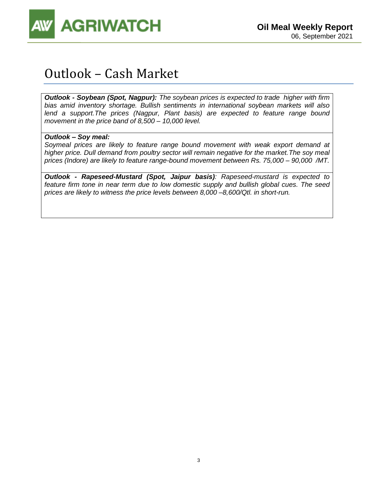

### Outlook – Cash Market

*Outlook - Soybean (Spot, Nagpur): The soybean prices is expected to trade higher with firm bias amid inventory shortage. Bullish sentiments in international soybean markets will also lend a support.The prices (Nagpur, Plant basis) are expected to feature range bound movement in the price band of 8,500 – 10,000 level.* 

#### *Outlook – Soy meal:*

*Soymeal prices are likely to feature range bound movement with weak export demand at higher price. Dull demand from poultry sector will remain negative for the market.The soy meal prices (Indore) are likely to feature range-bound movement between Rs. 75,000 – 90,000 /MT.*

*Outlook - Rapeseed-Mustard (Spot, Jaipur basis): Rapeseed-mustard is expected to feature firm tone in near term due to low domestic supply and bullish global cues. The seed prices are likely to witness the price levels between 8,000 –8,600/Qtl. in short-run.*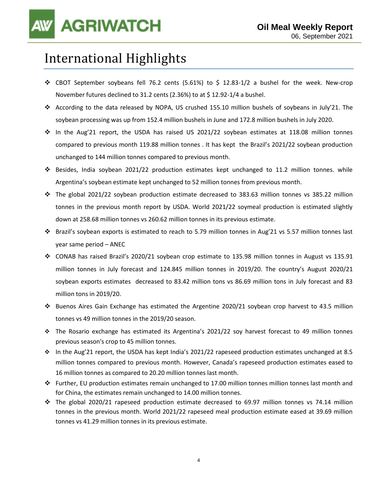### International Highlights

- ❖ CBOT September soybeans fell 76.2 cents (5.61%) to \$ 12.83-1/2 a bushel for the week. New-crop November futures declined to 31.2 cents (2.36%) to at \$ 12.92-1/4 a bushel.
- ❖ According to the data released by NOPA, US crushed 155.10 million bushels of soybeans in July'21. The soybean processing was up from 152.4 million bushels in June and 172.8 million bushels in July 2020.
- ❖ In the Aug'21 report, the USDA has raised US 2021/22 soybean estimates at 118.08 million tonnes compared to previous month 119.88 million tonnes . It has kept the Brazil's 2021/22 soybean production unchanged to 144 million tonnes compared to previous month.
- ❖ Besides, India soybean 2021/22 production estimates kept unchanged to 11.2 million tonnes. while Argentina's soybean estimate kept unchanged to 52 million tonnes from previous month.
- ❖ The global 2021/22 soybean production estimate decreased to 383.63 million tonnes vs 385.22 million tonnes in the previous month report by USDA. World 2021/22 soymeal production is estimated slightly down at 258.68 million tonnes vs 260.62 million tonnes in its previous estimate.
- ❖ Brazil's soybean exports is estimated to reach to 5.79 million tonnes in Aug'21 vs 5.57 million tonnes last year same period – ANEC
- ❖ CONAB has raised Brazil's 2020/21 soybean crop estimate to 135.98 million tonnes in August vs 135.91 million tonnes in July forecast and 124.845 million tonnes in 2019/20. The country's August 2020/21 soybean exports estimates decreased to 83.42 million tons vs 86.69 million tons in July forecast and 83 million tons in 2019/20.
- ❖ Buenos Aires Gain Exchange has estimated the Argentine 2020/21 soybean crop harvest to 43.5 million tonnes vs 49 million tonnes in the 2019/20 season.
- ❖ The Rosario exchange has estimated its Argentina's 2021/22 soy harvest forecast to 49 million tonnes previous season's crop to 45 million tonnes.
- ❖ In the Aug'21 report, the USDA has kept India's 2021/22 rapeseed production estimates unchanged at 8.5 million tonnes compared to previous month. However, Canada's rapeseed production estimates eased to 16 million tonnes as compared to 20.20 million tonnes last month.
- ❖ Further, EU production estimates remain unchanged to 17.00 million tonnes million tonnes last month and for China, the estimates remain unchanged to 14.00 million tonnes.
- ❖ The global 2020/21 rapeseed production estimate decreased to 69.97 million tonnes vs 74.14 million tonnes in the previous month. World 2021/22 rapeseed meal production estimate eased at 39.69 million tonnes vs 41.29 million tonnes in its previous estimate.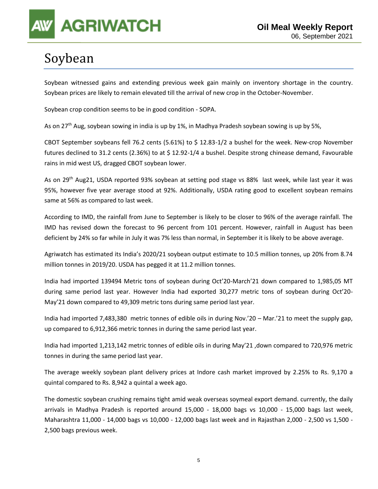

## Soybean

Soybean witnessed gains and extending previous week gain mainly on inventory shortage in the country. Soybean prices are likely to remain elevated till the arrival of new crop in the October-November.

Soybean crop condition seems to be in good condition - SOPA.

As on 27<sup>th</sup> Aug, soybean sowing in india is up by 1%, in Madhya Pradesh soybean sowing is up by 5%,

CBOT September soybeans fell 76.2 cents (5.61%) to \$ 12.83-1/2 a bushel for the week. New-crop November futures declined to 31.2 cents (2.36%) to at \$ 12.92-1/4 a bushel. Despite strong chinease demand, Favourable rains in mid west US, dragged CBOT soybean lower.

As on 29<sup>th</sup> Aug21, USDA reported 93% soybean at setting pod stage vs 88% last week, while last year it was 95%, however five year average stood at 92%. Additionally, USDA rating good to excellent soybean remains same at 56% as compared to last week.

According to IMD, the rainfall from June to September is likely to be closer to 96% of the average rainfall. The IMD has revised down the forecast to 96 percent from 101 percent. However, rainfall in August has been deficient by 24% so far while in July it was 7% less than normal, in September it is likely to be above average.

Agriwatch has estimated its India's 2020/21 soybean output estimate to 10.5 million tonnes, up 20% from 8.74 million tonnes in 2019/20. USDA has pegged it at 11.2 million tonnes.

India had imported 139494 Metric tons of soybean during Oct'20-March'21 down compared to 1,985,05 MT during same period last year. However India had exported 30,277 metric tons of soybean during Oct'20- May'21 down compared to 49,309 metric tons during same period last year.

India had imported 7,483,380 metric tonnes of edible oils in during Nov.'20 – Mar.'21 to meet the supply gap, up compared to 6,912,366 metric tonnes in during the same period last year.

India had imported 1,213,142 metric tonnes of edible oils in during May'21 ,down compared to 720,976 metric tonnes in during the same period last year.

The average weekly soybean plant delivery prices at Indore cash market improved by 2.25% to Rs. 9,170 a quintal compared to Rs. 8,942 a quintal a week ago.

The domestic soybean crushing remains tight amid weak overseas soymeal export demand. currently, the daily arrivals in Madhya Pradesh is reported around 15,000 - 18,000 bags vs 10,000 - 15,000 bags last week, Maharashtra 11,000 - 14,000 bags vs 10,000 - 12,000 bags last week and in Rajasthan 2,000 - 2,500 vs 1,500 - 2,500 bags previous week.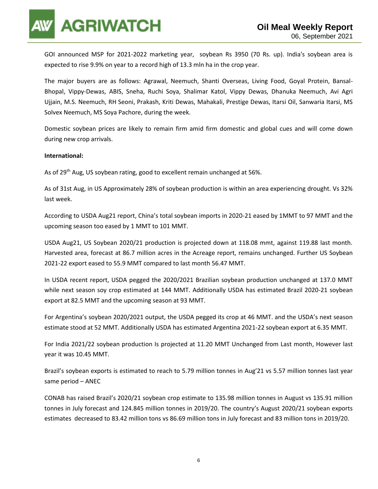**AGRIWATCH** 

GOI announced MSP for 2021-2022 marketing year, soybean Rs 3950 (70 Rs. up). India's soybean area is expected to rise 9.9% on year to a record high of 13.3 mln ha in the crop year.

The major buyers are as follows: Agrawal, Neemuch, Shanti Overseas, Living Food, Goyal Protein, Bansal-Bhopal, Vippy-Dewas, ABIS, Sneha, Ruchi Soya, Shalimar Katol, Vippy Dewas, Dhanuka Neemuch, Avi Agri Ujjain, M.S. Neemuch, RH Seoni, Prakash, Kriti Dewas, Mahakali, Prestige Dewas, Itarsi Oil, Sanwaria Itarsi, MS Solvex Neemuch, MS Soya Pachore, during the week.

Domestic soybean prices are likely to remain firm amid firm domestic and global cues and will come down during new crop arrivals.

#### **International:**

As of 29<sup>th</sup> Aug, US soybean rating, good to excellent remain unchanged at 56%.

As of 31st Aug, in US Approximately 28% of soybean production is within an area experiencing drought. Vs 32% last week.

According to USDA Aug21 report, China's total soybean imports in 2020-21 eased by 1MMT to 97 MMT and the upcoming season too eased by 1 MMT to 101 MMT.

USDA Aug21, US Soybean 2020/21 production is projected down at 118.08 mmt, against 119.88 last month. Harvested area, forecast at 86.7 million acres in the Acreage report, remains unchanged. Further US Soybean 2021-22 export eased to 55.9 MMT compared to last month 56.47 MMT.

In USDA recent report, USDA pegged the 2020/2021 Brazilian soybean production unchanged at 137.0 MMT while next season soy crop estimated at 144 MMT. Additionally USDA has estimated Brazil 2020-21 soybean export at 82.5 MMT and the upcoming season at 93 MMT.

For Argentina's soybean 2020/2021 output, the USDA pegged its crop at 46 MMT. and the USDA's next season estimate stood at 52 MMT. Additionally USDA has estimated Argentina 2021-22 soybean export at 6.35 MMT.

For India 2021/22 soybean production Is projected at 11.20 MMT Unchanged from Last month, However last year it was 10.45 MMT.

Brazil's soybean exports is estimated to reach to 5.79 million tonnes in Aug'21 vs 5.57 million tonnes last year same period – ANEC

CONAB has raised Brazil's 2020/21 soybean crop estimate to 135.98 million tonnes in August vs 135.91 million tonnes in July forecast and 124.845 million tonnes in 2019/20. The country's August 2020/21 soybean exports estimates decreased to 83.42 million tons vs 86.69 million tons in July forecast and 83 million tons in 2019/20.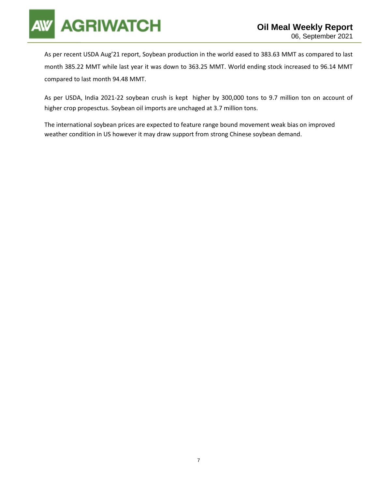

As per recent USDA Aug'21 report, Soybean production in the world eased to 383.63 MMT as compared to last month 385.22 MMT while last year it was down to 363.25 MMT. World ending stock increased to 96.14 MMT compared to last month 94.48 MMT.

As per USDA, India 2021-22 soybean crush is kept higher by 300,000 tons to 9.7 million ton on account of higher crop propesctus. Soybean oil imports are unchaged at 3.7 million tons.

The international soybean prices are expected to feature range bound movement weak bias on improved weather condition in US however it may draw support from strong Chinese soybean demand.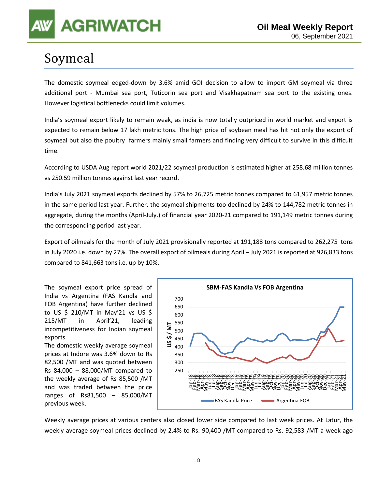## Soymeal

The domestic soymeal edged-down by 3.6% amid GOI decision to allow to import GM soymeal via three additional port - Mumbai sea port, Tuticorin sea port and Visakhapatnam sea port to the existing ones. However logistical bottlenecks could limit volumes.

India's soymeal export likely to remain weak, as india is now totally outpriced in world market and export is expected to remain below 17 lakh metric tons. The high price of soybean meal has hit not only the export of soymeal but also the poultry farmers mainly small farmers and finding very difficult to survive in this difficult time.

According to USDA Aug report world 2021/22 soymeal production is estimated higher at 258.68 million tonnes vs 250.59 million tonnes against last year record.

India's July 2021 soymeal exports declined by 57% to 26,725 metric tonnes compared to 61,957 metric tonnes in the same period last year. Further, the soymeal shipments too declined by 24% to 144,782 metric tonnes in aggregate, during the months (April-July.) of financial year 2020-21 compared to 191,149 metric tonnes during the corresponding period last year.

Export of oilmeals for the month of July 2021 provisionally reported at 191,188 tons compared to 262,275 tons in July 2020 i.e. down by 27%. The overall export of oilmeals during April – July 2021 is reported at 926,833 tons compared to 841,663 tons i.e. up by 10%.

The soymeal export price spread of India vs Argentina (FAS Kandla and FOB Argentina) have further declined to US \$ 210/MT in May'21 vs US \$ 215/MT in April'21, leading incompetitiveness for Indian soymeal exports.

The domestic weekly average soymeal prices at Indore was 3.6% down to Rs 82,500 /MT and was quoted between Rs 84,000 – 88,000/MT compared to the weekly average of Rs 85,500 /MT and was traded between the price ranges of Rs81,500 – 85,000/MT previous week.



Weekly average prices at various centers also closed lower side compared to last week prices. At Latur, the weekly average soymeal prices declined by 2.4% to Rs. 90,400 /MT compared to Rs. 92,583 /MT a week ago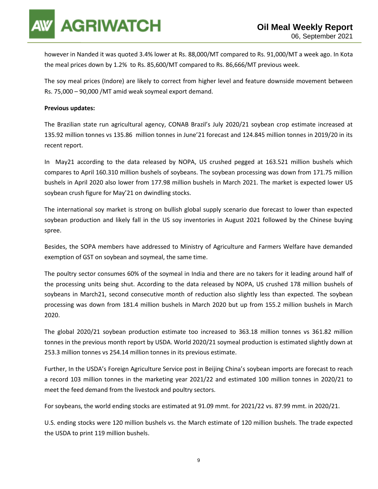

however in Nanded it was quoted 3.4% lower at Rs. 88,000/MT compared to Rs. 91,000/MT a week ago. In Kota the meal prices down by 1.2% to Rs. 85,600/MT compared to Rs. 86,666/MT previous week.

The soy meal prices (Indore) are likely to correct from higher level and feature downside movement between Rs. 75,000 – 90,000 /MT amid weak soymeal export demand.

#### **Previous updates:**

The Brazilian state run agricultural agency, CONAB Brazil's July 2020/21 soybean crop estimate increased at 135.92 million tonnes vs 135.86 million tonnes in June'21 forecast and 124.845 million tonnes in 2019/20 in its recent report.

In May21 according to the data released by NOPA, US crushed pegged at 163.521 million bushels which compares to April 160.310 million bushels of soybeans. The soybean processing was down from 171.75 million bushels in April 2020 also lower from 177.98 million bushels in March 2021. The market is expected lower US soybean crush figure for May'21 on dwindling stocks.

The international soy market is strong on bullish global supply scenario due forecast to lower than expected soybean production and likely fall in the US soy inventories in August 2021 followed by the Chinese buying spree.

Besides, the SOPA members have addressed to Ministry of Agriculture and Farmers Welfare have demanded exemption of GST on soybean and soymeal, the same time.

The poultry sector consumes 60% of the soymeal in India and there are no takers for it leading around half of the processing units being shut. According to the data released by NOPA, US crushed 178 million bushels of soybeans in March21, second consecutive month of reduction also slightly less than expected. The soybean processing was down from 181.4 million bushels in March 2020 but up from 155.2 million bushels in March 2020.

The global 2020/21 soybean production estimate too increased to 363.18 million tonnes vs 361.82 million tonnes in the previous month report by USDA. World 2020/21 soymeal production is estimated slightly down at 253.3 million tonnes vs 254.14 million tonnes in its previous estimate.

Further, In the USDA's Foreign Agriculture Service post in Beijing China's soybean imports are forecast to reach a record 103 million tonnes in the marketing year 2021/22 and estimated 100 million tonnes in 2020/21 to meet the feed demand from the livestock and poultry sectors.

For soybeans, the world ending stocks are estimated at 91.09 mmt. for 2021/22 vs. 87.99 mmt. in 2020/21.

U.S. ending stocks were 120 million bushels vs. the March estimate of 120 million bushels. The trade expected the USDA to print 119 million bushels.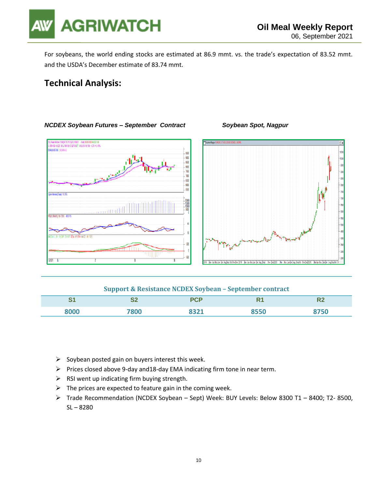

For soybeans, the world ending stocks are estimated at 86.9 mmt. vs. the trade's expectation of 83.52 mmt. and the USDA's December estimate of 83.74 mmt.

### **Technical Analysis:**



#### *NCDEX Soybean Futures – September Contract Soybean Spot, Nagpur*



#### **Support & Resistance NCDEX Soybean – September contract**

| C <sub>4</sub><br>ີ | г.<br>∽∸ | DCD                 | D.   | 784 J                 |
|---------------------|----------|---------------------|------|-----------------------|
| הההי                | '800     | <b>JOJ1</b><br>097T | 3550 | 7F <sub>O</sub><br>טכ |

- $\triangleright$  Soybean posted gain on buyers interest this week.
- ➢ Prices closed above 9-day and18-day EMA indicating firm tone in near term.
- $\triangleright$  RSI went up indicating firm buying strength.
- $\triangleright$  The prices are expected to feature gain in the coming week.
- ➢ Trade Recommendation (NCDEX Soybean Sept) Week: BUY Levels: Below 8300 T1 8400; T2- 8500, SL – 8280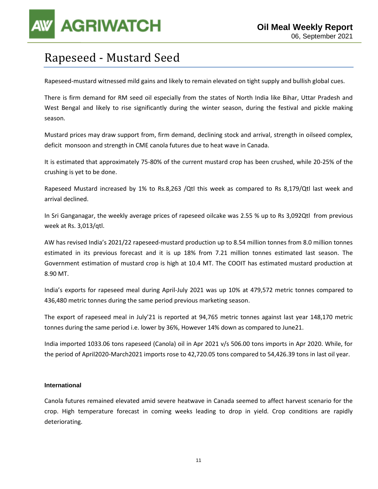

### Rapeseed - Mustard Seed

Rapeseed-mustard witnessed mild gains and likely to remain elevated on tight supply and bullish global cues.

There is firm demand for RM seed oil especially from the states of North India like Bihar, Uttar Pradesh and West Bengal and likely to rise significantly during the winter season, during the festival and pickle making season.

Mustard prices may draw support from, firm demand, declining stock and arrival, strength in oilseed complex, deficit monsoon and strength in CME canola futures due to heat wave in Canada.

It is estimated that approximately 75-80% of the current mustard crop has been crushed, while 20-25% of the crushing is yet to be done.

Rapeseed Mustard increased by 1% to Rs.8,263 /Qtl this week as compared to Rs 8,179/Qtl last week and arrival declined.

In Sri Ganganagar, the weekly average prices of rapeseed oilcake was 2.55 % up to Rs 3,092Qtl from previous week at Rs. 3,013/qtl.

AW has revised India's 2021/22 rapeseed-mustard production up to 8.54 million tonnes from 8.0 million tonnes estimated in its previous forecast and it is up 18% from 7.21 million tonnes estimated last season. The Government estimation of mustard crop is high at 10.4 MT. The COOIT has estimated mustard production at 8.90 MT.

India's exports for rapeseed meal during April-July 2021 was up 10% at 479,572 metric tonnes compared to 436,480 metric tonnes during the same period previous marketing season.

The export of rapeseed meal in July'21 is reported at 94,765 metric tonnes against last year 148,170 metric tonnes during the same period i.e. lower by 36%, However 14% down as compared to June21.

India imported 1033.06 tons rapeseed (Canola) oil in Apr 2021 v/s 506.00 tons imports in Apr 2020. While, for the period of April2020-March2021 imports rose to 42,720.05 tons compared to 54,426.39 tons in last oil year.

#### **International**

Canola futures remained elevated amid severe heatwave in Canada seemed to affect harvest scenario for the crop. High temperature forecast in coming weeks leading to drop in yield. Crop conditions are rapidly deteriorating.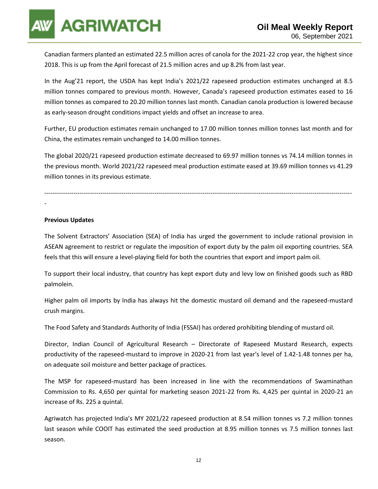**AGRIWATCH** 

Canadian farmers planted an estimated 22.5 million acres of canola for the 2021-22 crop year, the highest since 2018. This is up from the April forecast of 21.5 million acres and up 8.2% from last year.

In the Aug'21 report, the USDA has kept India's 2021/22 rapeseed production estimates unchanged at 8.5 million tonnes compared to previous month. However, Canada's rapeseed production estimates eased to 16 million tonnes as compared to 20.20 million tonnes last month. Canadian canola production is lowered because as early-season drought conditions impact yields and offset an increase to area.

Further, EU production estimates remain unchanged to 17.00 million tonnes million tonnes last month and for China, the estimates remain unchanged to 14.00 million tonnes.

The global 2020/21 rapeseed production estimate decreased to 69.97 million tonnes vs 74.14 million tonnes in the previous month. World 2021/22 rapeseed meal production estimate eased at 39.69 million tonnes vs 41.29 million tonnes in its previous estimate.

----------------------------------------------------------------------------------------------------------------------------------------------------

#### -

#### **Previous Updates**

The Solvent Extractors' Association (SEA) of India has urged the government to include rational provision in ASEAN agreement to restrict or regulate the imposition of export duty by the palm oil exporting countries. SEA feels that this will ensure a level-playing field for both the countries that export and import palm oil.

To support their local industry, that country has kept export duty and levy low on finished goods such as RBD palmolein.

Higher palm oil imports by India has always hit the domestic mustard oil demand and the rapeseed-mustard crush margins.

The Food Safety and Standards Authority of India (FSSAI) has ordered prohibiting blending of mustard oil.

Director, Indian Council of Agricultural Research – Directorate of Rapeseed Mustard Research, expects productivity of the rapeseed-mustard to improve in 2020-21 from last year's level of 1.42-1.48 tonnes per ha, on adequate soil moisture and better package of practices.

The MSP for rapeseed-mustard has been increased in line with the recommendations of Swaminathan Commission to Rs. 4,650 per quintal for marketing season 2021-22 from Rs. 4,425 per quintal in 2020-21 an increase of Rs. 225 a quintal.

Agriwatch has projected India's MY 2021/22 rapeseed production at 8.54 million tonnes vs 7.2 million tonnes last season while COOIT has estimated the seed production at 8.95 million tonnes vs 7.5 million tonnes last season.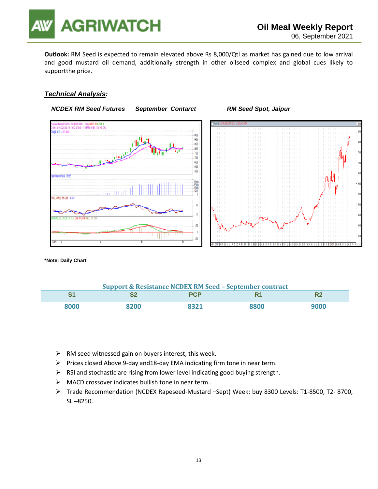

**Outlook:** RM Seed is expected to remain elevated above Rs 8,000/Qtl as market has gained due to low arrival and good mustard oil demand, additionally strength in other oilseed complex and global cues likely to supportthe price.

#### *Technical Analysis:*



**\*Note: Daily Chart**

| <b>Support &amp; Resistance NCDEX RM Seed - September contract</b> |      |            |      |      |  |
|--------------------------------------------------------------------|------|------------|------|------|--|
|                                                                    |      | <b>PCP</b> | R1   |      |  |
| 8000                                                               | 8200 | 8321       | 8800 | 9000 |  |

- $\triangleright$  RM seed witnessed gain on buyers interest, this week.
- ➢ Prices closed Above 9-day and18-day EMA indicating firm tone in near term.
- $\triangleright$  RSI and stochastic are rising from lower level indicating good buying strength.
- ➢ MACD crossover indicates bullish tone in near term..
- ➢ Trade Recommendation (NCDEX Rapeseed-Mustard –Sept) Week: buy 8300 Levels: T1-8500, T2- 8700, SL –8250.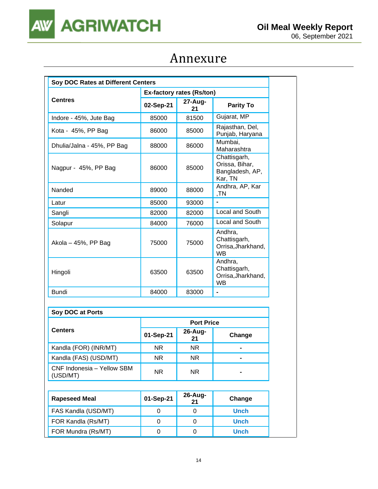

### Annexure

| Soy DOC Rates at Different Centers |           |                                  |                                                              |  |  |
|------------------------------------|-----------|----------------------------------|--------------------------------------------------------------|--|--|
|                                    |           | <b>Ex-factory rates (Rs/ton)</b> |                                                              |  |  |
| <b>Centres</b>                     | 02-Sep-21 | 27-Aug-<br>21                    | <b>Parity To</b>                                             |  |  |
| Indore - 45%, Jute Bag             | 85000     | 81500                            | Gujarat, MP                                                  |  |  |
| Kota - 45%, PP Bag                 | 86000     | 85000                            | Rajasthan, Del,<br>Punjab, Haryana                           |  |  |
| Dhulia/Jalna - 45%, PP Bag         | 88000     | 86000                            | Mumbai,<br>Maharashtra                                       |  |  |
| Nagpur - 45%, PP Bag               | 86000     | 85000                            | Chattisgarh,<br>Orissa, Bihar,<br>Bangladesh, AP,<br>Kar, TN |  |  |
| Nanded                             | 89000     | 88000                            | Andhra, AP, Kar<br>,TN                                       |  |  |
| Latur                              | 85000     | 93000                            |                                                              |  |  |
| Sangli                             | 82000     | 82000                            | Local and South                                              |  |  |
| Solapur                            | 84000     | 76000                            | Local and South                                              |  |  |
| Akola – 45%, PP Bag                | 75000     | 75000                            | Andhra.<br>Chattisgarh,<br>Orrisa, Jharkhand,<br><b>WB</b>   |  |  |
| Hingoli                            | 63500     | 63500                            | Andhra.<br>Chattisgarh,<br>Orrisa, Jharkhand,<br><b>WB</b>   |  |  |
| <b>Bundi</b>                       | 84000     | 83000                            | $\blacksquare$                                               |  |  |

| Soy DOC at Ports                       |                   |                  |        |  |  |
|----------------------------------------|-------------------|------------------|--------|--|--|
|                                        | <b>Port Price</b> |                  |        |  |  |
| <b>Centers</b>                         | 01-Sep-21         | $26$ -Aug-<br>21 | Change |  |  |
| Kandla (FOR) (INR/MT)                  | <b>NR</b>         | <b>NR</b>        |        |  |  |
| Kandla (FAS) (USD/MT)                  | <b>NR</b>         | <b>NR</b>        |        |  |  |
| CNF Indonesia - Yellow SBM<br>(USD/MT) | <b>NR</b>         | <b>NR</b>        |        |  |  |
|                                        |                   |                  |        |  |  |
| Rapeseed Meal                          | 01-Sep-21         | 26-Aug-          | Change |  |  |

| <b>Rapeseed Meal</b> | 01-Sep-21 | $26$ -Aug-<br>21 | Change      |
|----------------------|-----------|------------------|-------------|
| FAS Kandla (USD/MT)  |           |                  | <b>Unch</b> |
| FOR Kandla (Rs/MT)   |           |                  | <b>Unch</b> |
| FOR Mundra (Rs/MT)   |           |                  | <b>Unch</b> |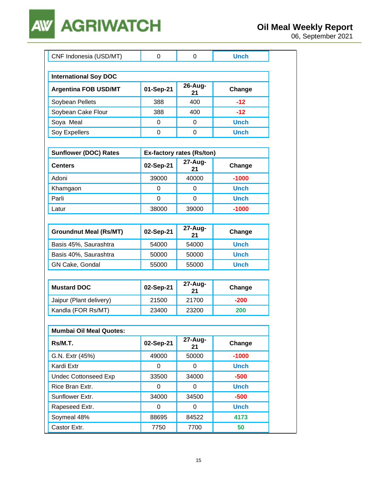### **AGRIWATCH AW**

| CNF Indonesia (USD/MT)         | $\Omega$  | $\Omega$                  | <b>Unch</b> |
|--------------------------------|-----------|---------------------------|-------------|
|                                |           |                           |             |
| <b>International Soy DOC</b>   |           |                           |             |
| <b>Argentina FOB USD/MT</b>    | 01-Sep-21 | 26-Aug-<br>21             | Change      |
| Soybean Pellets                | 388       | 400                       | $-12$       |
| Soybean Cake Flour             | 388       | 400                       | $-12$       |
| Soya Meal                      | 0         | 0                         | <b>Unch</b> |
| Soy Expellers                  | $\Omega$  | $\Omega$                  | <b>Unch</b> |
|                                |           |                           |             |
| <b>Sunflower (DOC) Rates</b>   |           | Ex-factory rates (Rs/ton) |             |
| Centers                        | 02-Sep-21 | 27-Aug-<br>21             | Change      |
| Adoni                          | 39000     | 40000                     | $-1000$     |
| Khamgaon                       | 0         | 0                         | <b>Unch</b> |
| Parli                          | $\Omega$  | $\mathbf 0$               | <b>Unch</b> |
| Latur                          | 38000     | 39000                     | $-1000$     |
|                                |           |                           |             |
| <b>Groundnut Meal (Rs/MT)</b>  | 02-Sep-21 | 27-Aug-<br>21             | Change      |
| Basis 45%, Saurashtra          | 54000     | 54000                     | <b>Unch</b> |
| Basis 40%, Saurashtra          | 50000     | 50000                     | <b>Unch</b> |
| GN Cake, Gondal                | 55000     | 55000                     | <b>Unch</b> |
|                                |           |                           |             |
| <b>Mustard DOC</b>             | 02-Sep-21 | 27-Aug-<br>21             | Change      |
| Jaipur (Plant delivery)        | 21500     | 21700                     | $-200$      |
| Kandla (FOR Rs/MT)             | 23400     | 23200                     | 200         |
|                                |           |                           |             |
| <b>Mumbai Oil Meal Quotes:</b> |           |                           |             |
| Rs/M.T.                        | 02-Sep-21 | 27-Aug-<br>21             | Change      |
| G.N. Extr (45%)                | 49000     | 50000                     | $-1000$     |
| Kardi Extr                     | 0         | 0                         | <b>Unch</b> |
| <b>Undec Cottonseed Exp</b>    | 33500     | 34000                     | $-500$      |
| Rice Bran Extr.                | 0         | 0                         | <b>Unch</b> |
| Sunflower Extr.                | 34000     | 34500                     | $-500$      |
| Rapeseed Extr.                 | 0         | 0                         | <b>Unch</b> |
| Soymeal 48%                    | 88695     | 84522                     | 4173        |
| Castor Extr.                   | 7750      | 7700                      | 50          |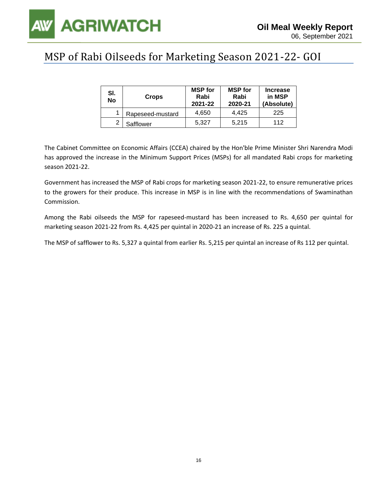

### MSP of Rabi Oilseeds for Marketing Season 2021-22- GOI

| SI.<br>No | <b>Crops</b>     | <b>MSP</b> for<br>Rabi<br>2021-22 | <b>MSP</b> for<br>Rabi<br>2020-21 | <b>Increase</b><br>in MSP<br>(Absolute) |
|-----------|------------------|-----------------------------------|-----------------------------------|-----------------------------------------|
|           | Rapeseed-mustard | 4.650                             | 4.425                             | 225                                     |
| ◠         | Safflower        | 5.327                             | 5.215                             | 112                                     |

The Cabinet Committee on Economic Affairs (CCEA) chaired by the Hon'ble Prime Minister Shri Narendra Modi has approved the increase in the Minimum Support Prices (MSPs) for all mandated Rabi crops for marketing season 2021-22.

Government has increased the MSP of Rabi crops for marketing season 2021-22, to ensure remunerative prices to the growers for their produce. This increase in MSP is in line with the recommendations of Swaminathan Commission.

Among the Rabi oilseeds the MSP for rapeseed-mustard has been increased to Rs. 4,650 per quintal for marketing season 2021-22 from Rs. 4,425 per quintal in 2020-21 an increase of Rs. 225 a quintal.

The MSP of safflower to Rs. 5,327 a quintal from earlier Rs. 5,215 per quintal an increase of Rs 112 per quintal.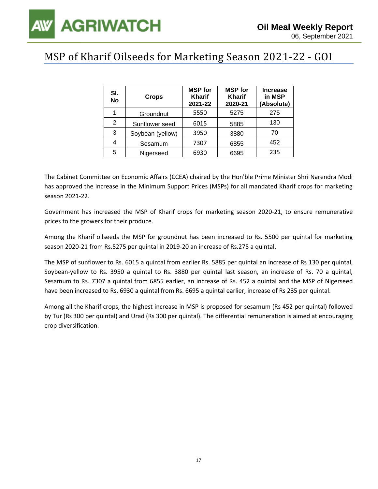### MSP of Kharif Oilseeds for Marketing Season 2021-22 - GOI

| SI.<br><b>No</b> | <b>Crops</b>     | <b>MSP</b> for<br><b>Kharif</b><br>2021-22 | <b>MSP</b> for<br><b>Kharif</b><br>2020-21 | <b>Increase</b><br>in MSP<br>(Absolute) |
|------------------|------------------|--------------------------------------------|--------------------------------------------|-----------------------------------------|
|                  | Groundnut        | 5550                                       | 5275                                       | 275                                     |
| 2                | Sunflower seed   | 6015                                       | 5885                                       | 130                                     |
| 3                | Soybean (yellow) | 3950                                       | 3880                                       | 70                                      |
| 4                | Sesamum          | 7307                                       | 6855                                       | 452                                     |
| 5                | Nigerseed        | 6930                                       | 6695                                       | 235                                     |

The Cabinet Committee on Economic Affairs (CCEA) chaired by the Hon'ble Prime Minister Shri Narendra Modi has approved the increase in the Minimum Support Prices (MSPs) for all mandated Kharif crops for marketing season 2021-22.

Government has increased the MSP of Kharif crops for marketing season 2020-21, to ensure remunerative prices to the growers for their produce.

Among the Kharif oilseeds the MSP for groundnut has been increased to Rs. 5500 per quintal for marketing season 2020-21 from Rs.5275 per quintal in 2019-20 an increase of Rs.275 a quintal.

The MSP of sunflower to Rs. 6015 a quintal from earlier Rs. 5885 per quintal an increase of Rs 130 per quintal, Soybean-yellow to Rs. 3950 a quintal to Rs. 3880 per quintal last season, an increase of Rs. 70 a quintal, Sesamum to Rs. 7307 a quintal from 6855 earlier, an increase of Rs. 452 a quintal and the MSP of Nigerseed have been increased to Rs. 6930 a quintal from Rs. 6695 a quintal earlier, increase of Rs 235 per quintal.

Among all the Kharif crops, the highest increase in MSP is proposed for sesamum (Rs 452 per quintal) followed by Tur (Rs 300 per quintal) and Urad (Rs 300 per quintal). The differential remuneration is aimed at encouraging crop diversification.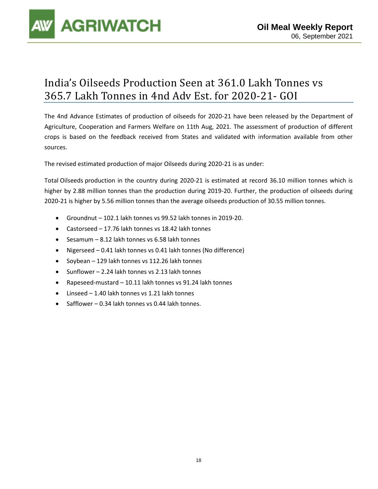

### India's Oilseeds Production Seen at 361.0 Lakh Tonnes vs 365.7 Lakh Tonnes in 4nd Adv Est. for 2020-21- GOI

The 4nd Advance Estimates of production of oilseeds for 2020-21 have been released by the Department of Agriculture, Cooperation and Farmers Welfare on 11th Aug, 2021. The assessment of production of different crops is based on the feedback received from States and validated with information available from other sources.

The revised estimated production of major Oilseeds during 2020-21 is as under:

Total Oilseeds production in the country during 2020-21 is estimated at record 36.10 million tonnes which is higher by 2.88 million tonnes than the production during 2019-20. Further, the production of oilseeds during 2020-21 is higher by 5.56 million tonnes than the average oilseeds production of 30.55 million tonnes.

- Groundnut 102.1 lakh tonnes vs 99.52 lakh tonnes in 2019-20.
- Castorseed 17.76 lakh tonnes vs 18.42 lakh tonnes
- Sesamum 8.12 lakh tonnes vs 6.58 lakh tonnes
- Nigerseed 0.41 lakh tonnes vs 0.41 lakh tonnes (No difference)
- Soybean 129 lakh tonnes vs 112.26 lakh tonnes
- Sunflower 2.24 lakh tonnes vs 2.13 lakh tonnes
- Rapeseed-mustard 10.11 lakh tonnes vs 91.24 lakh tonnes
- Linseed 1.40 lakh tonnes vs 1.21 lakh tonnes
- Safflower 0.34 lakh tonnes vs 0.44 lakh tonnes.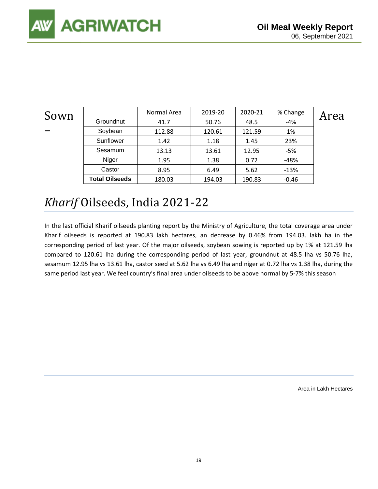| Sown                     |                       | Normal Area | 2019-20 | 2020-21 | % Change | Area |
|--------------------------|-----------------------|-------------|---------|---------|----------|------|
|                          | Groundnut             | 41.7        | 50.76   | 48.5    | -4%      |      |
| $\overline{\phantom{a}}$ | Soybean               | 112.88      | 120.61  | 121.59  | 1%       |      |
|                          | Sunflower             | 1.42        | 1.18    | 1.45    | 23%      |      |
|                          | Sesamum               | 13.13       | 13.61   | 12.95   | -5%      |      |
|                          | Niger                 | 1.95        | 1.38    | 0.72    | -48%     |      |
|                          | Castor                | 8.95        | 6.49    | 5.62    | $-13%$   |      |
|                          | <b>Total Oilseeds</b> | 180.03      | 194.03  | 190.83  | $-0.46$  |      |

### *Kharif* Oilseeds, India 2021-22

In the last official Kharif oilseeds planting report by the Ministry of Agriculture, the total coverage area under Kharif oilseeds is reported at 190.83 lakh hectares, an decrease by 0.46% from 194.03. lakh ha in the corresponding period of last year. Of the major oilseeds, soybean sowing is reported up by 1% at 121.59 lha compared to 120.61 lha during the corresponding period of last year, groundnut at 48.5 lha vs 50.76 lha, sesamum 12.95 lha vs 13.61 lha, castor seed at 5.62 lha vs 6.49 lha and niger at 0.72 lha vs 1.38 lha, during the same period last year. We feel country's final area under oilseeds to be above normal by 5-7% this season

Area in Lakh Hectares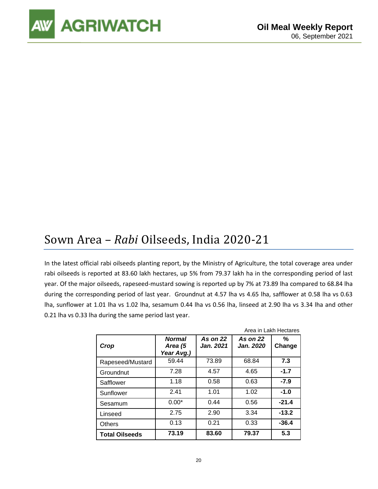

### Sown Area – *Rabi* Oilseeds, India 2020-21

In the latest official rabi oilseeds planting report, by the Ministry of Agriculture, the total coverage area under rabi oilseeds is reported at 83.60 lakh hectares, up 5% from 79.37 lakh ha in the corresponding period of last year. Of the major oilseeds, rapeseed-mustard sowing is reported up by 7% at 73.89 lha compared to 68.84 lha during the corresponding period of last year. Groundnut at 4.57 lha vs 4.65 lha, safflower at 0.58 lha vs 0.63 lha, sunflower at 1.01 lha vs 1.02 lha, sesamum 0.44 lha vs 0.56 lha, linseed at 2.90 lha vs 3.34 lha and other 0.21 lha vs 0.33 lha during the same period last year.

|                       |                                        |                       |                              | Area in Lakh Hectares |
|-----------------------|----------------------------------------|-----------------------|------------------------------|-----------------------|
| Crop                  | <b>Normal</b><br>Area (5<br>Year Avg.) | As on 22<br>Jan. 2021 | <b>As on 22</b><br>Jan. 2020 | %<br>Change           |
| Rapeseed/Mustard      | 59.44                                  | 73.89                 | 68.84                        | 7.3                   |
| Groundnut             | 7.28                                   | 4.57                  | 4.65                         | $-1.7$                |
| Safflower             | 1.18                                   | 0.58                  | 0.63                         | $-7.9$                |
| Sunflower             | 2.41                                   | 1.01                  | 1.02                         | $-1.0$                |
| Sesamum               | $0.00*$                                | 0.44                  | 0.56                         | $-21.4$               |
| Linseed               | 2.75                                   | 2.90                  | 3.34                         | $-13.2$               |
| <b>Others</b>         | 0.13                                   | 0.21                  | 0.33                         | $-36.4$               |
| <b>Total Oilseeds</b> | 73.19                                  | 83.60                 | 79.37                        | 5.3                   |